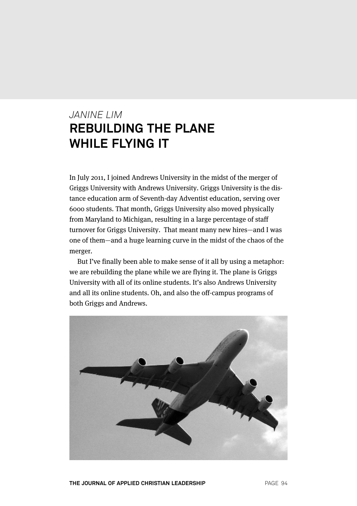# *JANINE LIM* **REBUILDING THE PLANE WHILE FLYING IT**

In July 2011, I joined Andrews University in the midst of the merger of Griggs University with Andrews University. Griggs University is the distance education arm of Seventh-day Adventist education, serving over 6000 students. That month, Griggs University also moved physically from Maryland to Michigan, resulting in a large percentage of staff turnover for Griggs University. That meant many new hires—and I was one of them—and a huge learning curve in the midst of the chaos of the merger.

But I've finally been able to make sense of it all by using a metaphor: we are rebuilding the plane while we are flying it. The plane is Griggs University with all of its online students. It's also Andrews University and all its online students. Oh, and also the off-campus programs of both Griggs and Andrews.

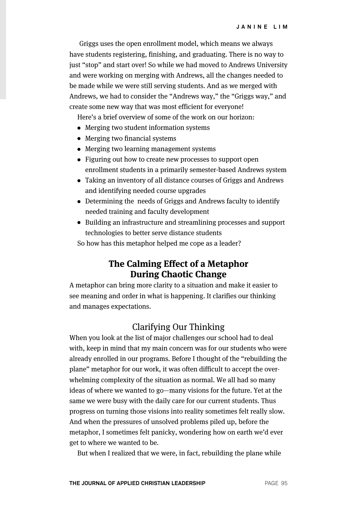Griggs uses the open enrollment model, which means we always have students registering, finishing, and graduating. There is no way to just "stop" and start over! So while we had moved to Andrews University and were working on merging with Andrews, all the changes needed to be made while we were still serving students. And as we merged with Andrews, we had to consider the "Andrews way," the "Griggs way," and create some new way that was most efficient for everyone!

Here's a brief overview of some of the work on our horizon:

- Merging two student information systems
- Merging two financial systems
- Merging two learning management systems
- Figuring out how to create new processes to support open enrollment students in a primarily semester-based Andrews system
- Taking an inventory of all distance courses of Griggs and Andrews and identifying needed course upgrades
- Determining the needs of Griggs and Andrews faculty to identify needed training and faculty development
- Building an infrastructure and streamlining processes and support technologies to better serve distance students

So how has this metaphor helped me cope as a leader?

## **The Calming Effect of a Metaphor During Chaotic Change**

A metaphor can bring more clarity to a situation and make it easier to see meaning and order in what is happening. It clarifies our thinking and manages expectations.

## Clarifying Our Thinking

When you look at the list of major challenges our school had to deal with, keep in mind that my main concern was for our students who were already enrolled in our programs. Before I thought of the "rebuilding the plane" metaphor for our work, it was often difficult to accept the overwhelming complexity of the situation as normal. We all had so many ideas of where we wanted to go—many visions for the future. Yet at the same we were busy with the daily care for our current students. Thus progress on turning those visions into reality sometimes felt really slow. And when the pressures of unsolved problems piled up, before the metaphor, I sometimes felt panicky, wondering how on earth we'd ever get to where we wanted to be.

But when I realized that we were, in fact, rebuilding the plane while